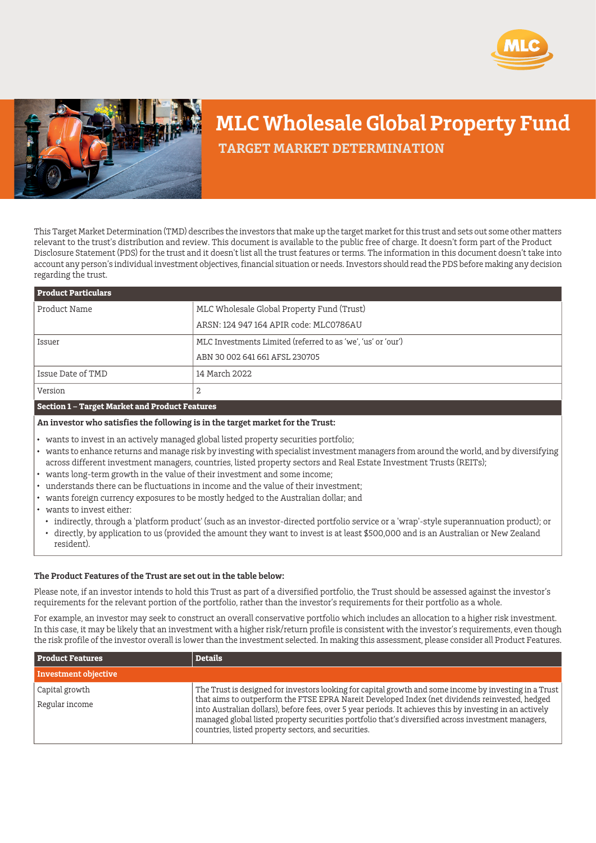



## **MLC Wholesale Global Property Fund**

 **TARGET MARKET DETERMINATION**

This Target Market Determination (TMD) describes the investors that make up the target market for this trust and sets out some other matters relevant to the trust's distribution and review. This document is available to the public free of charge. It doesn't form part of the Product Disclosure Statement (PDS) for the trust and it doesn't list all the trust features or terms. The information in this document doesn't take into account any person's individual investment objectives, financial situation or needs. Investors should read the PDS before making any decision regarding the trust.

| <b>Product Particulars</b> |                                                              |
|----------------------------|--------------------------------------------------------------|
| Product Name               | MLC Wholesale Global Property Fund (Trust)                   |
|                            | ARSN: 124 947 164 APIR code: MLC0786AU                       |
| Issuer                     | MLC Investments Limited (referred to as 'we', 'us' or 'our') |
|                            | ABN 30 002 641 661 AFSL 230705                               |
| Issue Date of TMD          | 14 March 2022                                                |
| Version                    | 2                                                            |

## **Section 1 – Target Market and Product Features**

**An investor who satisfies the following is in the target market for the Trust:**

- wants to invest in an actively managed global listed property securities portfolio;
- wants to enhance returns and manage risk by investing with specialist investment managers from around the world, and by diversifying across different investment managers, countries, listed property sectors and Real Estate Investment Trusts (REITs);
- wants long-term growth in the value of their investment and some income;
- understands there can be fluctuations in income and the value of their investment;
- wants foreign currency exposures to be mostly hedged to the Australian dollar; and

wants to invest either:

indirectly, through a 'platform product' (such as an investor-directed portfolio service or a 'wrap'-style superannuation product); or directly, by application to us (provided the amount they want to invest is at least \$500,000 and is an Australian or New Zealand resident).

## **The Product Features of the Trust are set out in the table below:**

Please note, if an investor intends to hold this Trust as part of a diversified portfolio, the Trust should be assessed against the investor's requirements for the relevant portion of the portfolio, rather than the investor's requirements for their portfolio as a whole.

For example, an investor may seek to construct an overall conservative portfolio which includes an allocation to a higher risk investment. In this case, it may be likely that an investment with a higher risk/return profile is consistent with the investor's requirements, even though the risk profile of the investor overall is lower than the investment selected. In making this assessment, please consider all Product Features.

| <b>Product Features</b>          | <b>Details</b>                                                                                                                                                                                                                                                                                                                                                                                                                                                                    |
|----------------------------------|-----------------------------------------------------------------------------------------------------------------------------------------------------------------------------------------------------------------------------------------------------------------------------------------------------------------------------------------------------------------------------------------------------------------------------------------------------------------------------------|
| Investment objective             |                                                                                                                                                                                                                                                                                                                                                                                                                                                                                   |
| Capital growth<br>Regular income | The Trust is designed for investors looking for capital growth and some income by investing in a Trust<br>that aims to outperform the FTSE EPRA Nareit Developed Index (net dividends reinvested, hedged<br>into Australian dollars), before fees, over 5 year periods. It achieves this by investing in an actively<br>managed global listed property securities portfolio that's diversified across investment managers,<br>countries, listed property sectors, and securities. |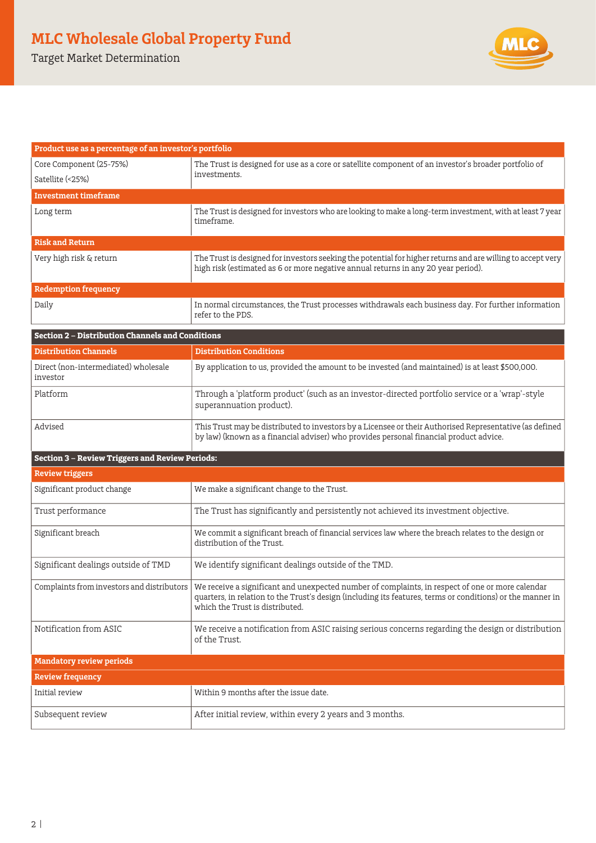Target Market Determination



| Product use as a percentage of an investor's portfolio  |                                                                                                                                                                                                                                                   |  |
|---------------------------------------------------------|---------------------------------------------------------------------------------------------------------------------------------------------------------------------------------------------------------------------------------------------------|--|
| Core Component (25-75%)                                 | The Trust is designed for use as a core or satellite component of an investor's broader portfolio of                                                                                                                                              |  |
| Satellite (<25%)                                        | investments.                                                                                                                                                                                                                                      |  |
| <b>Investment timeframe</b>                             |                                                                                                                                                                                                                                                   |  |
| Long term                                               | The Trust is designed for investors who are looking to make a long-term investment, with at least 7 year<br>timeframe.                                                                                                                            |  |
| <b>Risk and Return</b>                                  |                                                                                                                                                                                                                                                   |  |
| Very high risk & return                                 | The Trust is designed for investors seeking the potential for higher returns and are willing to accept very<br>high risk (estimated as 6 or more negative annual returns in any 20 year period).                                                  |  |
| <b>Redemption frequency</b>                             |                                                                                                                                                                                                                                                   |  |
| Daily                                                   | In normal circumstances, the Trust processes withdrawals each business day. For further information<br>refer to the PDS.                                                                                                                          |  |
| <b>Section 2 - Distribution Channels and Conditions</b> |                                                                                                                                                                                                                                                   |  |
| <b>Distribution Channels</b>                            | <b>Distribution Conditions</b>                                                                                                                                                                                                                    |  |
| Direct (non-intermediated) wholesale<br>investor        | By application to us, provided the amount to be invested (and maintained) is at least \$500,000.                                                                                                                                                  |  |
| Platform                                                | Through a 'platform product' (such as an investor-directed portfolio service or a 'wrap'-style<br>superannuation product).                                                                                                                        |  |
| Advised                                                 | This Trust may be distributed to investors by a Licensee or their Authorised Representative (as defined<br>by law) (known as a financial adviser) who provides personal financial product advice.                                                 |  |
| <b>Section 3 - Review Triggers and Review Periods:</b>  |                                                                                                                                                                                                                                                   |  |
| <b>Review triggers</b>                                  |                                                                                                                                                                                                                                                   |  |
| Significant product change                              | We make a significant change to the Trust.                                                                                                                                                                                                        |  |
| Trust performance                                       | The Trust has significantly and persistently not achieved its investment objective.                                                                                                                                                               |  |
| Significant breach                                      | We commit a significant breach of financial services law where the breach relates to the design or<br>distribution of the Trust.                                                                                                                  |  |
| Significant dealings outside of TMD                     | We identify significant dealings outside of the TMD.                                                                                                                                                                                              |  |
| Complaints from investors and distributors              | We receive a significant and unexpected number of complaints, in respect of one or more calendar<br>quarters, in relation to the Trust's design (including its features, terms or conditions) or the manner in<br>which the Trust is distributed. |  |
| Notification from ASIC                                  | We receive a notification from ASIC raising serious concerns regarding the design or distribution<br>of the Trust.                                                                                                                                |  |
| <b>Mandatory review periods</b>                         |                                                                                                                                                                                                                                                   |  |
| <b>Review frequency</b>                                 |                                                                                                                                                                                                                                                   |  |
| Initial review                                          | Within 9 months after the issue date.                                                                                                                                                                                                             |  |